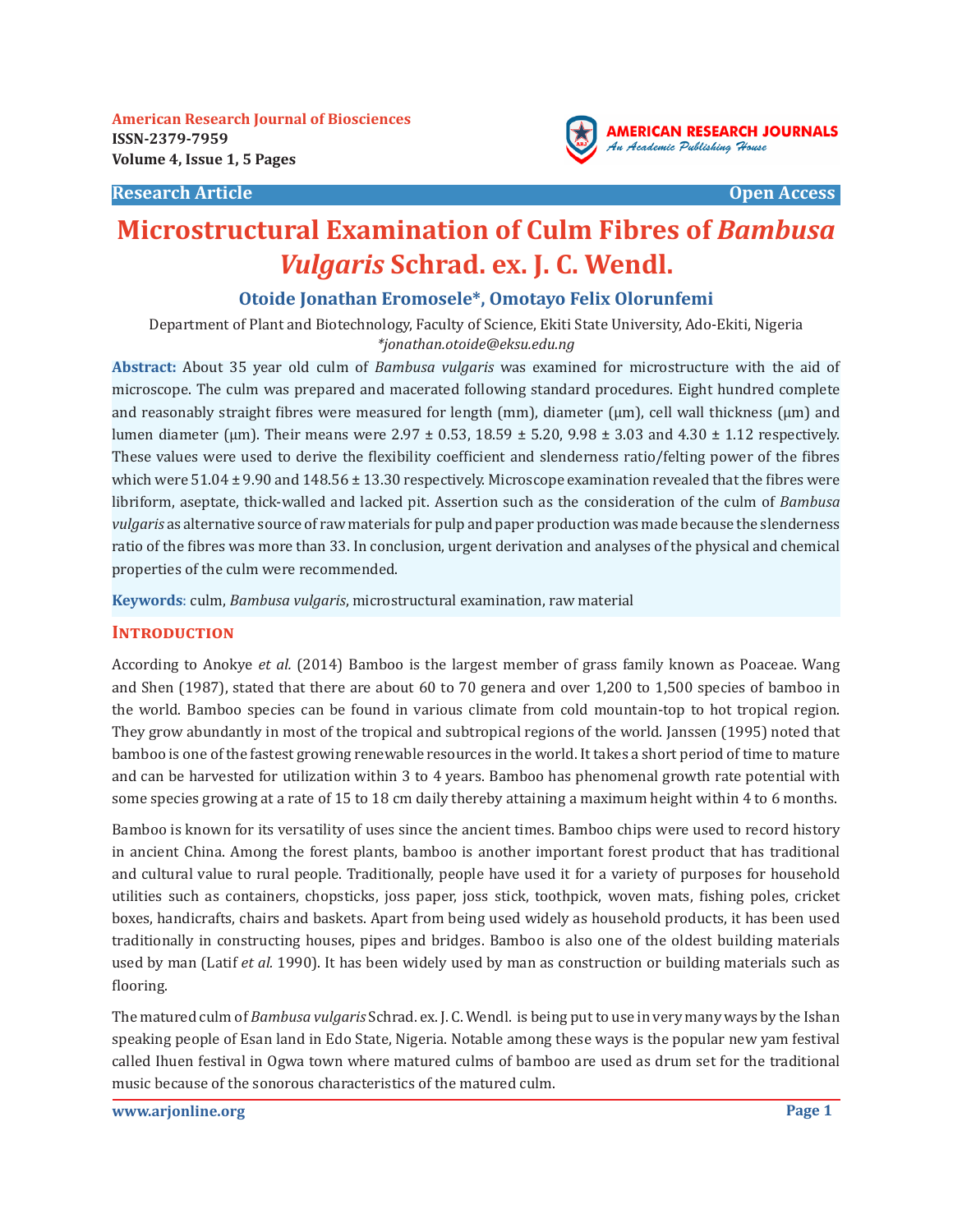



## **Otoide Jonathan Eromosele\*, Omotayo Felix Olorunfemi**

Department of Plant and Biotechnology, Faculty of Science, Ekiti State University, Ado-Ekiti, Nigeria *\*jonathan.otoide@eksu.edu.ng*

**Abstract:** About 35 year old culm of *Bambusa vulgaris* was examined for microstructure with the aid of microscope. The culm was prepared and macerated following standard procedures. Eight hundred complete and reasonably straight fibres were measured for length (mm), diameter ( $\mu$ m), cell wall thickness ( $\mu$ m) and lumen diameter (µm). Their means were  $2.97 \pm 0.53$ ,  $18.59 \pm 5.20$ ,  $9.98 \pm 3.03$  and  $4.30 \pm 1.12$  respectively. These values were used to derive the flexibility coefficient and slenderness ratio/felting power of the fibres which were  $51.04 \pm 9.90$  and  $148.56 \pm 13.30$  respectively. Microscope examination revealed that the fibres were libriform, aseptate, thick-walled and lacked pit. Assertion such as the consideration of the culm of *Bambusa vulgaris* as alternative source of raw materials for pulp and paper production was made because the slenderness ratio of the fibres was more than 33. In conclusion, urgent derivation and analyses of the physical and chemical properties of the culm were recommended.

**Keywords**: culm, *Bambusa vulgaris*, microstructural examination, raw material

## **INTRODUCTION**

According to Anokye *et al.* (2014) Bamboo is the largest member of grass family known as Poaceae. Wang and Shen (1987), stated that there are about 60 to 70 genera and over 1,200 to 1,500 species of bamboo in the world. Bamboo species can be found in various climate from cold mountain-top to hot tropical region. They grow abundantly in most of the tropical and subtropical regions of the world. Janssen (1995) noted that bamboo is one of the fastest growing renewable resources in the world. It takes a short period of time to mature and can be harvested for utilization within 3 to 4 years. Bamboo has phenomenal growth rate potential with some species growing at a rate of 15 to 18 cm daily thereby attaining a maximum height within 4 to 6 months.

Bamboo is known for its versatility of uses since the ancient times. Bamboo chips were used to record history in ancient China. Among the forest plants, bamboo is another important forest product that has traditional and cultural value to rural people. Traditionally, people have used it for a variety of purposes for household utilities such as containers, chopsticks, joss paper, joss stick, toothpick, woven mats, fishing poles, cricket boxes, handicrafts, chairs and baskets. Apart from being used widely as household products, it has been used traditionally in constructing houses, pipes and bridges. Bamboo is also one of the oldest building materials used by man (Latif *et al.* 1990). It has been widely used by man as construction or building materials such as flooring.

The matured culm of *Bambusa vulgaris* Schrad. ex. J. C. Wendl. is being put to use in very many ways by the Ishan speaking people of Esan land in Edo State, Nigeria. Notable among these ways is the popular new yam festival called Ihuen festival in Ogwa town where matured culms of bamboo are used as drum set for the traditional music because of the sonorous characteristics of the matured culm.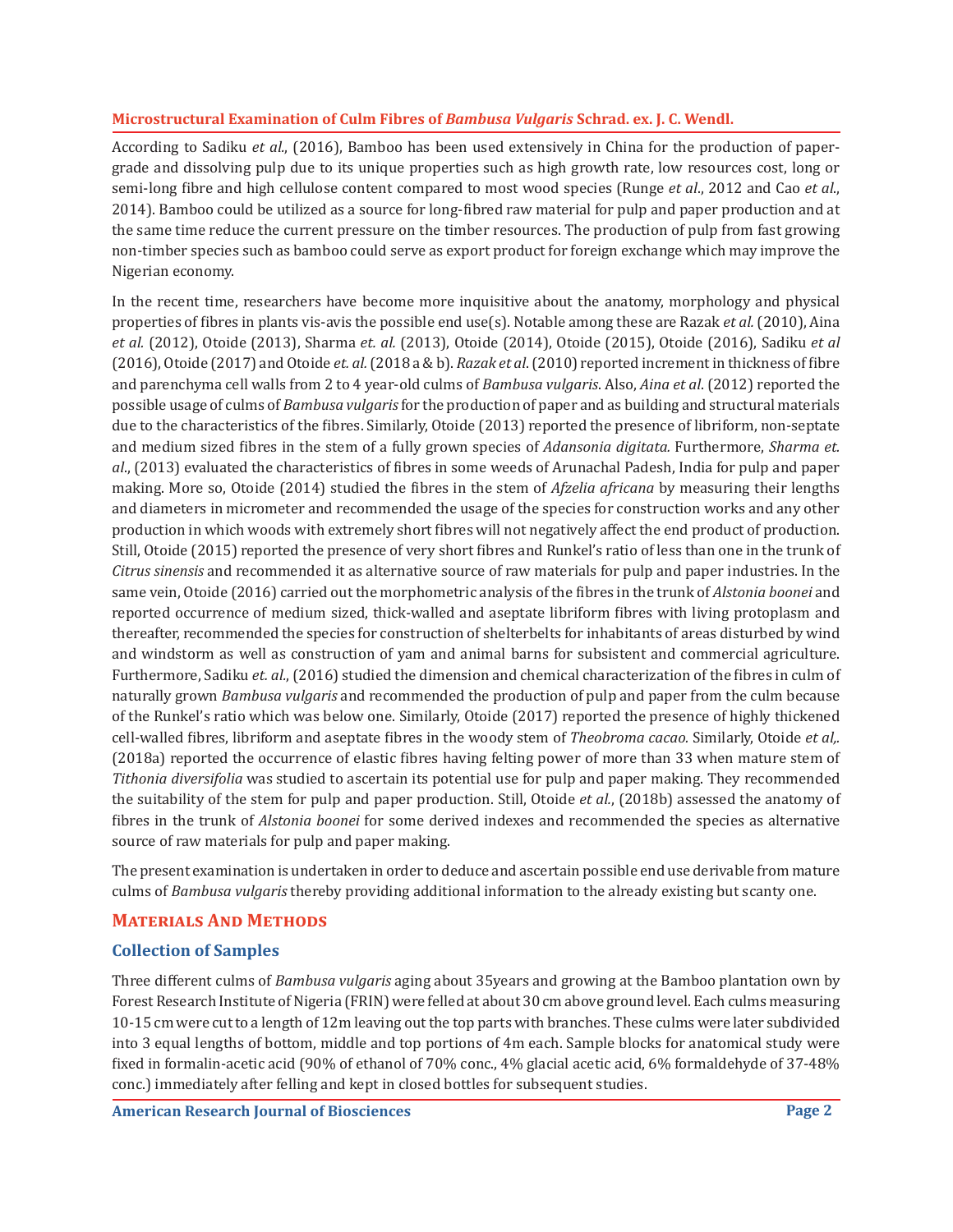According to Sadiku *et al.*, (2016), Bamboo has been used extensively in China for the production of papergrade and dissolving pulp due to its unique properties such as high growth rate, low resources cost, long or semi-long fibre and high cellulose content compared to most wood species (Runge *et al*., 2012 and Cao *et al*., 2014). Bamboo could be utilized as a source for long-fibred raw material for pulp and paper production and at the same time reduce the current pressure on the timber resources. The production of pulp from fast growing non-timber species such as bamboo could serve as export product for foreign exchange which may improve the Nigerian economy.

In the recent time, researchers have become more inquisitive about the anatomy, morphology and physical properties of fibres in plants vis-avis the possible end use(s). Notable among these are Razak *et al.* (2010), Aina *et al.* (2012), Otoide (2013), Sharma *et. al.* (2013), Otoide (2014), Otoide (2015), Otoide (2016), Sadiku *et al* (2016), Otoide (2017) and Otoide *et. al.* (2018 a & b). *Razak et al*. (2010) reported increment in thickness of fibre and parenchyma cell walls from 2 to 4 year-old culms of *Bambusa vulgaris*. Also, *Aina et al*. (2012) reported the possible usage of culms of *Bambusa vulgaris* for the production of paper and as building and structural materials due to the characteristics of the fibres. Similarly, Otoide (2013) reported the presence of libriform, non-septate and medium sized fibres in the stem of a fully grown species of *Adansonia digitata.* Furthermore, *Sharma et. al*., (2013) evaluated the characteristics of fibres in some weeds of Arunachal Padesh, India for pulp and paper making. More so, Otoide (2014) studied the fibres in the stem of *Afzelia africana* by measuring their lengths and diameters in micrometer and recommended the usage of the species for construction works and any other production in which woods with extremely short fibres will not negatively affect the end product of production. Still, Otoide (2015) reported the presence of very short fibres and Runkel's ratio of less than one in the trunk of *Citrus sinensis* and recommended it as alternative source of raw materials for pulp and paper industries. In the same vein, Otoide (2016) carried out the morphometric analysis of the fibres in the trunk of *Alstonia boonei* and reported occurrence of medium sized, thick-walled and aseptate libriform fibres with living protoplasm and thereafter, recommended the species for construction of shelterbelts for inhabitants of areas disturbed by wind and windstorm as well as construction of yam and animal barns for subsistent and commercial agriculture. Furthermore, Sadiku *et. al.*, (2016) studied the dimension and chemical characterization of the fibres in culm of naturally grown *Bambusa vulgaris* and recommended the production of pulp and paper from the culm because of the Runkel's ratio which was below one. Similarly, Otoide (2017) reported the presence of highly thickened cell-walled fibres, libriform and aseptate fibres in the woody stem of *Theobroma cacao.* Similarly, Otoide *et al,.* (2018a) reported the occurrence of elastic fibres having felting power of more than 33 when mature stem of *Tithonia diversifolia* was studied to ascertain its potential use for pulp and paper making. They recommended the suitability of the stem for pulp and paper production. Still, Otoide *et al.*, (2018b) assessed the anatomy of fibres in the trunk of *Alstonia boonei* for some derived indexes and recommended the species as alternative source of raw materials for pulp and paper making.

The present examination is undertaken in order to deduce and ascertain possible end use derivable from mature culms of *Bambusa vulgaris* thereby providing additional information to the already existing but scanty one.

## **Materials And Methods**

## **Collection of Samples**

Three different culms of *Bambusa vulgaris* aging about 35years and growing at the Bamboo plantation own by Forest Research Institute of Nigeria (FRIN) were felled at about 30 cm above ground level. Each culms measuring 10-15 cm were cut to a length of 12m leaving out the top parts with branches. These culms were later subdivided into 3 equal lengths of bottom, middle and top portions of 4m each. Sample blocks for anatomical study were fixed in formalin-acetic acid (90% of ethanol of 70% conc., 4% glacial acetic acid, 6% formaldehyde of 37-48% conc.) immediately after felling and kept in closed bottles for subsequent studies.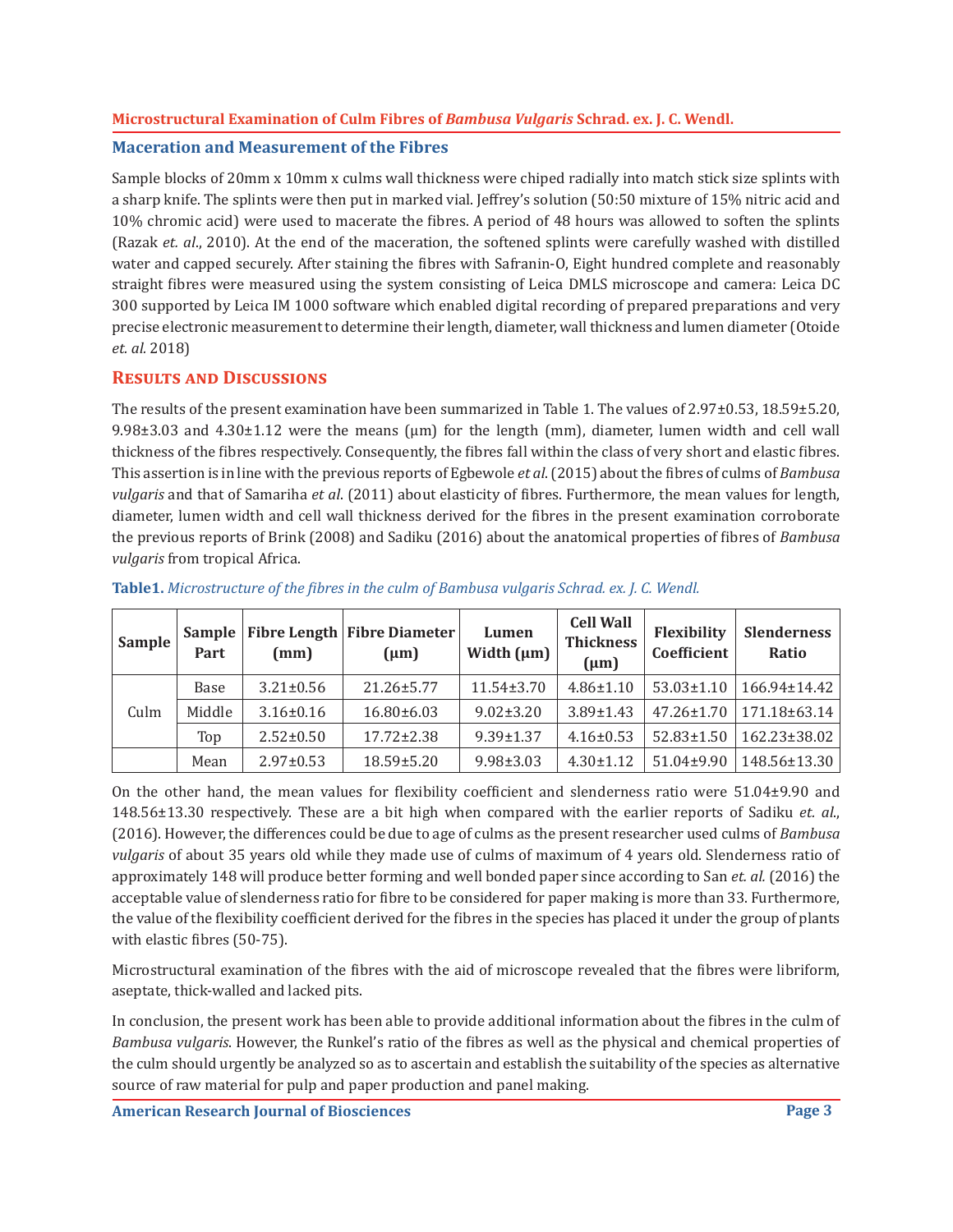#### **Maceration and Measurement of the Fibres**

Sample blocks of 20mm x 10mm x culms wall thickness were chiped radially into match stick size splints with a sharp knife. The splints were then put in marked vial. Jeffrey's solution (50:50 mixture of 15% nitric acid and 10% chromic acid) were used to macerate the fibres. A period of 48 hours was allowed to soften the splints (Razak *et. al*., 2010). At the end of the maceration, the softened splints were carefully washed with distilled water and capped securely. After staining the fibres with Safranin-O, Eight hundred complete and reasonably straight fibres were measured using the system consisting of Leica DMLS microscope and camera: Leica DC 300 supported by Leica IM 1000 software which enabled digital recording of prepared preparations and very precise electronic measurement to determine their length, diameter, wall thickness and lumen diameter (Otoide *et. al.* 2018)

## **Results and Discussions**

The results of the present examination have been summarized in Table 1. The values of 2.97±0.53, 18.59±5.20,  $9.98\pm3.03$  and  $4.30\pm1.12$  were the means ( $\mu$ m) for the length (mm), diameter, lumen width and cell wall thickness of the fibres respectively. Consequently, the fibres fall within the class of very short and elastic fibres. This assertion is in line with the previous reports of Egbewole *et al*. (2015) about the fibres of culms of *Bambusa vulgaris* and that of Samariha *et al*. (2011) about elasticity of fibres. Furthermore, the mean values for length, diameter, lumen width and cell wall thickness derived for the fibres in the present examination corroborate the previous reports of Brink (2008) and Sadiku (2016) about the anatomical properties of fibres of *Bambusa vulgaris* from tropical Africa.

| <b>Sample</b> | Part   | (mm)            | Sample   Fibre Length   Fibre Diameter<br>$(\mu m)$ | Lumen<br>Width $(\mu m)$ | <b>Cell Wall</b><br><b>Thickness</b><br>$(\mu m)$ | Flexibility<br>Coefficient | <b>Slenderness</b><br>Ratio |
|---------------|--------|-----------------|-----------------------------------------------------|--------------------------|---------------------------------------------------|----------------------------|-----------------------------|
| Culm          | Base   | $3.21 \pm 0.56$ | $21.26 \pm 5.77$                                    | $11.54 \pm 3.70$         | $4.86 \pm 1.10$                                   | $53.03 \pm 1.10$           | 166.94±14.42                |
|               | Middle | $3.16 \pm 0.16$ | $16.80 \pm 6.03$                                    | $9.02 \pm 3.20$          | $3.89 \pm 1.43$                                   | $47.26 \pm 1.70$           | 171.18±63.14                |
|               | Top    | $2.52 \pm 0.50$ | $17.72 \pm 2.38$                                    | $9.39 \pm 1.37$          | $4.16 \pm 0.53$                                   | $52.83 \pm 1.50$           | 162.23±38.02                |
|               | Mean   | $2.97 \pm 0.53$ | $18.59 \pm 5.20$                                    | $9.98 \pm 3.03$          | $4.30 \pm 1.12$                                   | 51.04±9.90                 | 148.56±13.30                |

#### **Table1.** *Microstructure of the fibres in the culm of Bambusa vulgaris Schrad. ex. J. C. Wendl.*

On the other hand, the mean values for flexibility coefficient and slenderness ratio were 51.04±9.90 and 148.56±13.30 respectively. These are a bit high when compared with the earlier reports of Sadiku *et. al*., (2016). However, the differences could be due to age of culms as the present researcher used culms of *Bambusa vulgaris* of about 35 years old while they made use of culms of maximum of 4 years old. Slenderness ratio of approximately 148 will produce better forming and well bonded paper since according to San *et. al.* (2016) the acceptable value of slenderness ratio for fibre to be considered for paper making is more than 33. Furthermore, the value of the flexibility coefficient derived for the fibres in the species has placed it under the group of plants with elastic fibres (50-75).

Microstructural examination of the fibres with the aid of microscope revealed that the fibres were libriform, aseptate, thick-walled and lacked pits.

In conclusion, the present work has been able to provide additional information about the fibres in the culm of *Bambusa vulgaris*. However, the Runkel's ratio of the fibres as well as the physical and chemical properties of the culm should urgently be analyzed so as to ascertain and establish the suitability of the species as alternative source of raw material for pulp and paper production and panel making.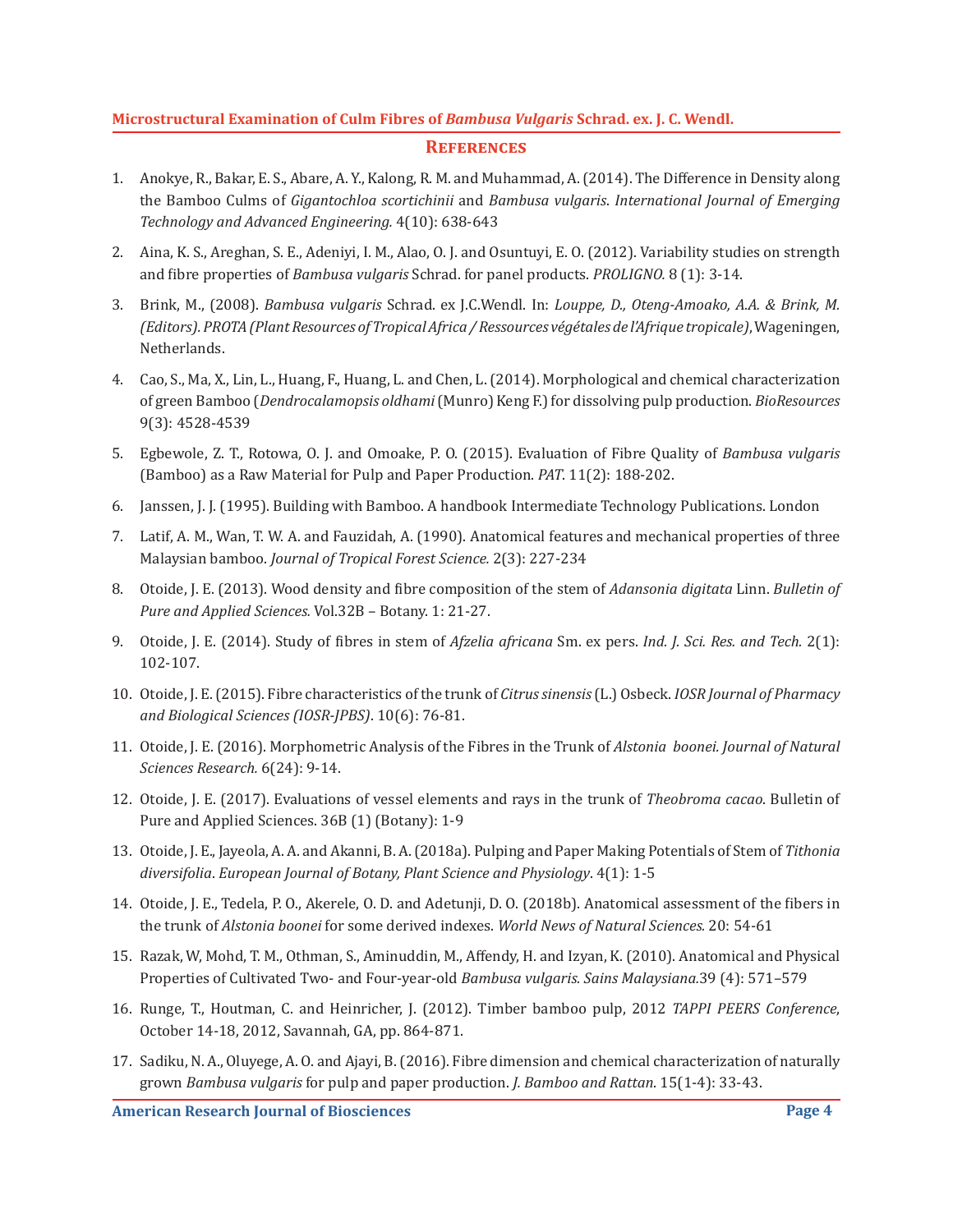#### **References**

- 1. Anokye, R., Bakar, E. S., Abare, A. Y., Kalong, R. M. and Muhammad, A. (2014). The Difference in Density along the Bamboo Culms of *Gigantochloa scortichinii* and *Bambusa vulgaris*. *International Journal of Emerging Technology and Advanced Engineering.* 4(10): 638-643
- 2. Aina, K. S., Areghan, S. E., Adeniyi, I. M., Alao, O. J. and Osuntuyi, E. O. (2012). Variability studies on strength and fibre properties of *Bambusa vulgaris* Schrad. for panel products. *PROLIGNO.* 8 (1): 3-14.
- 3. Brink, M., (2008). *Bambusa vulgaris* Schrad. ex J.C.Wendl. In: *Louppe, D., Oteng-Amoako, A.A. & Brink, M. (Editors). PROTA (Plant Resources of Tropical Africa / Ressources végétales de l'Afrique tropicale)*, Wageningen, Netherlands.
- 4. Cao, S., Ma, X., Lin, L., Huang, F., Huang, L. and Chen, L. (2014). Morphological and chemical characterization of green Bamboo (*Dendrocalamopsis oldhami* (Munro) Keng F.) for dissolving pulp production. *BioResources* 9(3): 4528-4539
- 5. Egbewole, Z. T., Rotowa, O. J. and Omoake, P. O. (2015). Evaluation of Fibre Quality of *Bambusa vulgaris* (Bamboo) as a Raw Material for Pulp and Paper Production. *PAT*. 11(2): 188-202.
- 6. Janssen, J. J. (1995). Building with Bamboo. A handbook Intermediate Technology Publications. London
- 7. Latif, A. M., Wan, T. W. A. and Fauzidah, A. (1990). Anatomical features and mechanical properties of three Malaysian bamboo. *Journal of Tropical Forest Science.* 2(3): 227-234
- 8. Otoide, J. E. (2013). Wood density and fibre composition of the stem of *Adansonia digitata* Linn. *Bulletin of Pure and Applied Sciences.* Vol.32B – Botany. 1: 21-27.
- 9. Otoide, J. E. (2014). Study of fibres in stem of *Afzelia africana* Sm. ex pers. *Ind. J. Sci. Res. and Tech.* 2(1): 102-107.
- 10. Otoide, J. E. (2015). Fibre characteristics of the trunk of *Citrus sinensis* (L.) Osbeck. *IOSR Journal of Pharmacy and Biological Sciences (IOSR-JPBS)*. 10(6): 76-81.
- 11. Otoide, J. E. (2016). Morphometric Analysis of the Fibres in the Trunk of *Alstonia boonei. Journal of Natural Sciences Research.* 6(24): 9-14.
- 12. Otoide, J. E. (2017). Evaluations of vessel elements and rays in the trunk of *Theobroma cacao*. Bulletin of Pure and Applied Sciences. 36B (1) (Botany): 1-9
- 13. Otoide, J. E., Jayeola, A. A. and Akanni, B. A. (2018a). Pulping and Paper Making Potentials of Stem of *Tithonia diversifolia*. *European Journal of Botany, Plant Science and Physiology*. 4(1): 1-5
- 14. Otoide, J. E., Tedela, P. O., Akerele, O. D. and Adetunji, D. O. (2018b). Anatomical assessment of the fibers in the trunk of *Alstonia boonei* for some derived indexes. *World News of Natural Sciences.* 20: 54-61
- 15. Razak, W, Mohd, T. M., Othman, S., Aminuddin, M., Affendy, H. and Izyan, K. (2010). Anatomical and Physical Properties of Cultivated Two- and Four-year-old *Bambusa vulgaris. Sains Malaysiana.*39 (4): 571–579
- 16. Runge, T., Houtman, C. and Heinricher, J. (2012). Timber bamboo pulp, 2012 *TAPPI PEERS Conference*, October 14-18, 2012, Savannah, GA, pp. 864-871.
- 17. Sadiku, N. A., Oluyege, A. O. and Ajayi, B. (2016). Fibre dimension and chemical characterization of naturally grown *Bambusa vulgaris* for pulp and paper production. *J. Bamboo and Rattan*. 15(1-4): 33-43.